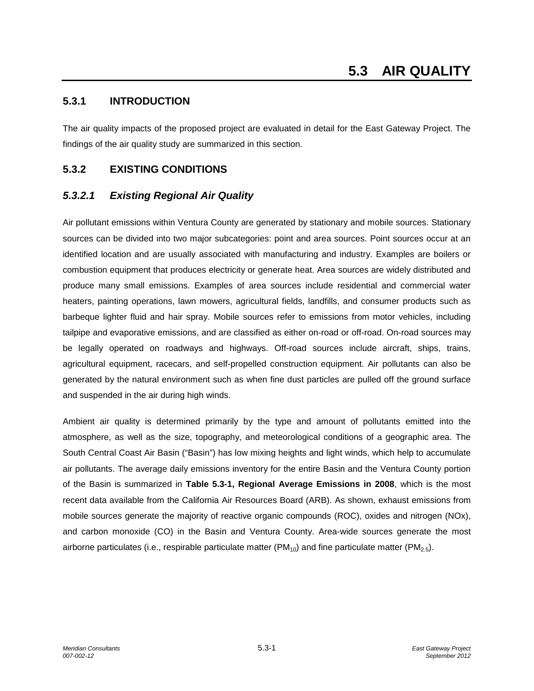## **5.3.1 INTRODUCTION**

The air quality impacts of the proposed project are evaluated in detail for the East Gateway Project. The findings of the air quality study are summarized in this section.

## **5.3.2 EXISTING CONDITIONS**

## *5.3.2.1 Existing Regional Air Quality*

Air pollutant emissions within Ventura County are generated by stationary and mobile sources. Stationary sources can be divided into two major subcategories: point and area sources. Point sources occur at an identified location and are usually associated with manufacturing and industry. Examples are boilers or combustion equipment that produces electricity or generate heat. Area sources are widely distributed and produce many small emissions. Examples of area sources include residential and commercial water heaters, painting operations, lawn mowers, agricultural fields, landfills, and consumer products such as barbeque lighter fluid and hair spray. Mobile sources refer to emissions from motor vehicles, including tailpipe and evaporative emissions, and are classified as either on-road or off-road. On-road sources may be legally operated on roadways and highways. Off-road sources include aircraft, ships, trains, agricultural equipment, racecars, and self-propelled construction equipment. Air pollutants can also be generated by the natural environment such as when fine dust particles are pulled off the ground surface and suspended in the air during high winds.

Ambient air quality is determined primarily by the type and amount of pollutants emitted into the atmosphere, as well as the size, topography, and meteorological conditions of a geographic area. The South Central Coast Air Basin ("Basin") has low mixing heights and light winds, which help to accumulate air pollutants. The average daily emissions inventory for the entire Basin and the Ventura County portion of the Basin is summarized in **Table 5.3-1, Regional Average Emissions in 2008**, which is the most recent data available from the California Air Resources Board (ARB). As shown, exhaust emissions from mobile sources generate the majority of reactive organic compounds (ROC), oxides and nitrogen (NOx), and carbon monoxide (CO) in the Basin and Ventura County. Area-wide sources generate the most airborne particulates (i.e., respirable particulate matter ( $PM_{10}$ ) and fine particulate matter ( $PM_{2.5}$ ).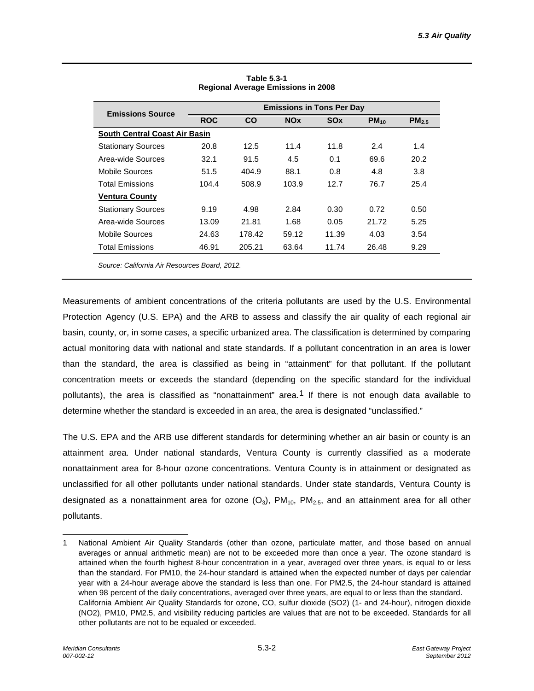| $PM_{10}$<br>$PM_{2.5}$ |
|-------------------------|
|                         |
|                         |
| 2.4<br>1.4              |
| 69.6<br>20.2            |
| 3.8<br>4.8              |
| 76.7<br>25.4            |
|                         |
| 0.72<br>0.50            |
| 5.25<br>21.72           |
| 4.03<br>3.54            |
| 26.48<br>9.29           |
|                         |

**Table 5.3-1 Regional Average Emissions in 2008**

*Source: California Air Resources Board, 2012.*

Measurements of ambient concentrations of the criteria pollutants are used by the U.S. Environmental Protection Agency (U.S. EPA) and the ARB to assess and classify the air quality of each regional air basin, county, or, in some cases, a specific urbanized area. The classification is determined by comparing actual monitoring data with national and state standards. If a pollutant concentration in an area is lower than the standard, the area is classified as being in "attainment" for that pollutant. If the pollutant concentration meets or exceeds the standard (depending on the specific standard for the individual pollutants), the area is classified as "nonattainment" area.<sup>[1](#page-1-0)</sup> If there is not enough data available to determine whether the standard is exceeded in an area, the area is designated "unclassified."

The U.S. EPA and the ARB use different standards for determining whether an air basin or county is an attainment area. Under national standards, Ventura County is currently classified as a moderate nonattainment area for 8-hour ozone concentrations. Ventura County is in attainment or designated as unclassified for all other pollutants under national standards. Under state standards, Ventura County is designated as a nonattainment area for ozone  $(O_3)$ ,  $PM_{10}$ ,  $PM_{2.5}$ , and an attainment area for all other pollutants.

<span id="page-1-0"></span>j 1 National Ambient Air Quality Standards (other than ozone, particulate matter, and those based on annual averages or annual arithmetic mean) are not to be exceeded more than once a year. The ozone standard is attained when the fourth highest 8-hour concentration in a year, averaged over three years, is equal to or less than the standard. For PM10, the 24-hour standard is attained when the expected number of days per calendar year with a 24-hour average above the standard is less than one. For PM2.5, the 24-hour standard is attained when 98 percent of the daily concentrations, averaged over three years, are equal to or less than the standard. California Ambient Air Quality Standards for ozone, CO, sulfur dioxide (SO2) (1- and 24-hour), nitrogen dioxide (NO2), PM10, PM2.5, and visibility reducing particles are values that are not to be exceeded. Standards for all other pollutants are not to be equaled or exceeded.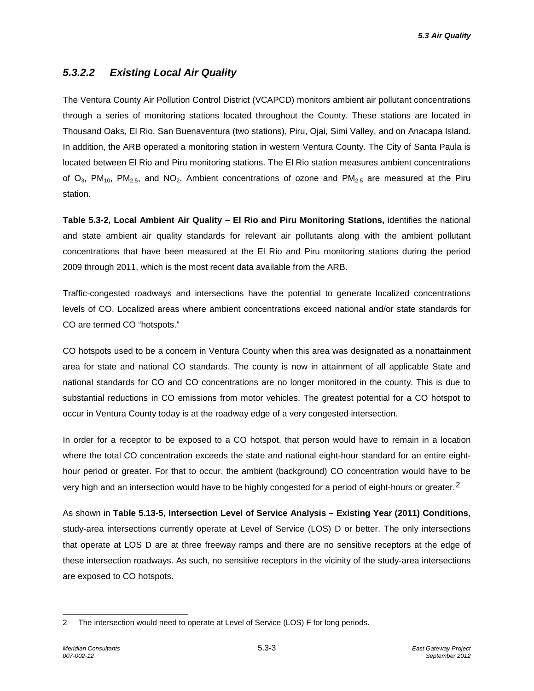## *5.3.2.2 Existing Local Air Quality*

The Ventura County Air Pollution Control District (VCAPCD) monitors ambient air pollutant concentrations through a series of monitoring stations located throughout the County. These stations are located in Thousand Oaks, El Rio, San Buenaventura (two stations), Piru, Ojai, Simi Valley, and on Anacapa Island. In addition, the ARB operated a monitoring station in western Ventura County. The City of Santa Paula is located between El Rio and Piru monitoring stations. The El Rio station measures ambient concentrations of  $O_3$ , PM<sub>10</sub>, PM<sub>2.5</sub>, and NO<sub>2</sub>. Ambient concentrations of ozone and PM<sub>2.5</sub> are measured at the Piru station.

**Table 5.3-2, Local Ambient Air Quality – El Rio and Piru Monitoring Stations,** identifies the national and state ambient air quality standards for relevant air pollutants along with the ambient pollutant concentrations that have been measured at the El Rio and Piru monitoring stations during the period 2009 through 2011, which is the most recent data available from the ARB.

Traffic-congested roadways and intersections have the potential to generate localized concentrations levels of CO. Localized areas where ambient concentrations exceed national and/or state standards for CO are termed CO "hotspots."

CO hotspots used to be a concern in Ventura County when this area was designated as a nonattainment area for state and national CO standards. The county is now in attainment of all applicable State and national standards for CO and CO concentrations are no longer monitored in the county. This is due to substantial reductions in CO emissions from motor vehicles. The greatest potential for a CO hotspot to occur in Ventura County today is at the roadway edge of a very congested intersection.

In order for a receptor to be exposed to a CO hotspot, that person would have to remain in a location where the total CO concentration exceeds the state and national eight-hour standard for an entire eighthour period or greater. For that to occur, the ambient (background) CO concentration would have to be very high and an intersection would have to be highly congested for a period of eight-hours or greater.<sup>[2](#page-2-0)</sup>

As shown in **Table 5.13-5, Intersection Level of Service Analysis – Existing Year (2011) Conditions**, study-area intersections currently operate at Level of Service (LOS) D or better. The only intersections that operate at LOS D are at three freeway ramps and there are no sensitive receptors at the edge of these intersection roadways. As such, no sensitive receptors in the vicinity of the study-area intersections are exposed to CO hotspots.

<span id="page-2-0"></span><sup>-</sup>2 The intersection would need to operate at Level of Service (LOS) F for long periods.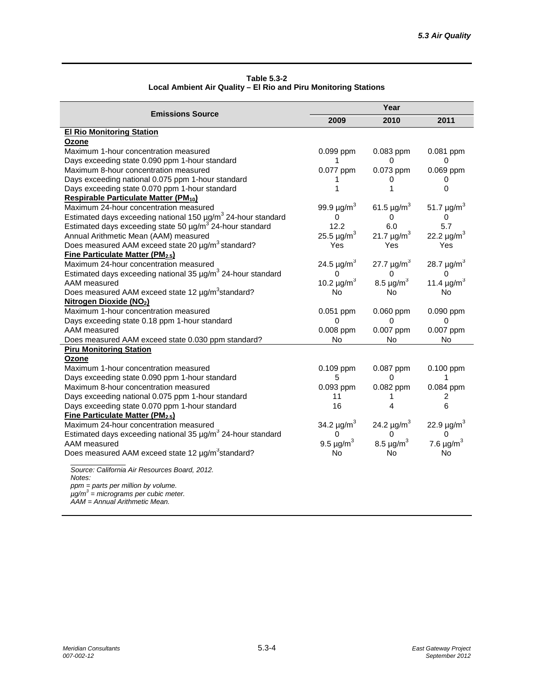| Table 5.3-2                                                     |
|-----------------------------------------------------------------|
| Local Ambient Air Quality - El Rio and Piru Monitoring Stations |

|                                                                                            | Year                        |                             |                             |  |  |
|--------------------------------------------------------------------------------------------|-----------------------------|-----------------------------|-----------------------------|--|--|
| <b>Emissions Source</b>                                                                    | 2009                        | 2010                        | 2011                        |  |  |
| <b>El Rio Monitoring Station</b>                                                           |                             |                             |                             |  |  |
| Ozone                                                                                      |                             |                             |                             |  |  |
| Maximum 1-hour concentration measured                                                      | 0.099 ppm                   | 0.083 ppm                   | 0.081 ppm                   |  |  |
| Days exceeding state 0.090 ppm 1-hour standard                                             | 1                           | 0                           | 0                           |  |  |
| Maximum 8-hour concentration measured                                                      | 0.077 ppm                   | 0.073 ppm                   | 0.069 ppm                   |  |  |
| Days exceeding national 0.075 ppm 1-hour standard                                          |                             | 0                           | 0                           |  |  |
| Days exceeding state 0.070 ppm 1-hour standard                                             | 1                           | 1                           | 0                           |  |  |
| Respirable Particulate Matter (PM <sub>10</sub> )                                          |                             |                             |                             |  |  |
| Maximum 24-hour concentration measured                                                     | 99.9 $\mu$ g/m <sup>3</sup> | 61.5 $\mu$ g/m <sup>3</sup> | 51.7 $\mu$ g/m <sup>3</sup> |  |  |
| Estimated days exceeding national 150 µg/m <sup>3</sup> 24-hour standard                   | 0                           | 0                           | 0                           |  |  |
| Estimated days exceeding state 50 µg/m <sup>3</sup> 24-hour standard                       | 12.2                        | 6.0                         | 5.7                         |  |  |
| Annual Arithmetic Mean (AAM) measured                                                      | 25.5 $\mu$ g/m <sup>3</sup> | 21.7 $\mu$ g/m <sup>3</sup> | 22.2 $\mu$ g/m <sup>3</sup> |  |  |
| Does measured AAM exceed state 20 µg/m <sup>3</sup> standard?                              | Yes                         | Yes                         | Yes                         |  |  |
| Fine Particulate Matter (PM2.5)                                                            |                             |                             |                             |  |  |
| Maximum 24-hour concentration measured                                                     | 24.5 $\mu$ g/m <sup>3</sup> | 27.7 $\mu$ g/m <sup>3</sup> | 28.7 $\mu$ g/m <sup>3</sup> |  |  |
| Estimated days exceeding national 35 µg/m <sup>3</sup> 24-hour standard                    | 0                           | 0                           | 0                           |  |  |
| AAM measured                                                                               | 10.2 $\mu$ g/m <sup>3</sup> | 8.5 $\mu$ g/m <sup>3</sup>  | 11.4 $\mu$ g/m <sup>3</sup> |  |  |
| Does measured AAM exceed state 12 µg/m <sup>3</sup> standard?                              | No.                         | No                          | No                          |  |  |
| Nitrogen Dioxide (NO <sub>2</sub> )                                                        |                             |                             |                             |  |  |
| Maximum 1-hour concentration measured                                                      | $0.051$ ppm                 | $0.060$ ppm                 | 0.090 ppm                   |  |  |
| Days exceeding state 0.18 ppm 1-hour standard                                              | 0                           | 0                           | 0                           |  |  |
| AAM measured                                                                               | 0.008 ppm                   | 0.007 ppm                   | 0.007 ppm                   |  |  |
| Does measured AAM exceed state 0.030 ppm standard?                                         | No                          | No                          | No                          |  |  |
| <b>Piru Monitoring Station</b>                                                             |                             |                             |                             |  |  |
| Ozone                                                                                      |                             |                             |                             |  |  |
| Maximum 1-hour concentration measured                                                      | 0.109 ppm                   | 0.087 ppm                   | 0.100 ppm                   |  |  |
| Days exceeding state 0.090 ppm 1-hour standard                                             | 5                           | 0                           | 1                           |  |  |
| Maximum 8-hour concentration measured                                                      | 0.093 ppm                   | 0.082 ppm                   | 0.084 ppm                   |  |  |
| Days exceeding national 0.075 ppm 1-hour standard                                          | 11                          | 1                           | 2                           |  |  |
| Days exceeding state 0.070 ppm 1-hour standard                                             | 16                          | 4                           | 6                           |  |  |
| Fine Particulate Matter (PM2.5)                                                            |                             |                             |                             |  |  |
| Maximum 24-hour concentration measured                                                     | 34.2 $\mu$ g/m <sup>3</sup> | 24.2 $\mu$ g/m <sup>3</sup> | 22.9 $\mu$ g/m <sup>3</sup> |  |  |
| Estimated days exceeding national 35 µg/m <sup>3</sup> 24-hour standard                    | 0                           | 0                           | 0                           |  |  |
| AAM measured                                                                               | 9.5 $\mu$ g/m <sup>3</sup>  | 8.5 $\mu$ g/m <sup>3</sup>  | 7.6 $\mu$ g/m <sup>3</sup>  |  |  |
| Does measured AAM exceed state 12 µg/m <sup>3</sup> standard?                              | No                          | No                          | No                          |  |  |
| Source: California Air Resources Board, 2012.                                              |                             |                             |                             |  |  |
| Notes:                                                                                     |                             |                             |                             |  |  |
| ppm = parts per million by volume.<br>$\mu$ g/m <sup>3</sup> = micrograms per cubic meter. |                             |                             |                             |  |  |
|                                                                                            |                             |                             |                             |  |  |

*AAM = Annual Arithmetic Mean.*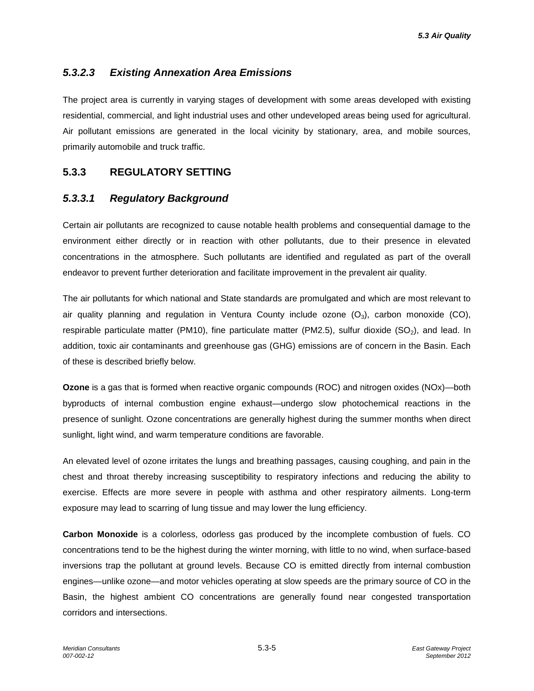## *5.3.2.3 Existing Annexation Area Emissions*

The project area is currently in varying stages of development with some areas developed with existing residential, commercial, and light industrial uses and other undeveloped areas being used for agricultural. Air pollutant emissions are generated in the local vicinity by stationary, area, and mobile sources, primarily automobile and truck traffic.

### **5.3.3 REGULATORY SETTING**

### *5.3.3.1 Regulatory Background*

Certain air pollutants are recognized to cause notable health problems and consequential damage to the environment either directly or in reaction with other pollutants, due to their presence in elevated concentrations in the atmosphere. Such pollutants are identified and regulated as part of the overall endeavor to prevent further deterioration and facilitate improvement in the prevalent air quality.

The air pollutants for which national and State standards are promulgated and which are most relevant to air quality planning and regulation in Ventura County include ozone  $(O_3)$ , carbon monoxide (CO), respirable particulate matter (PM10), fine particulate matter (PM2.5), sulfur dioxide  $(SO<sub>2</sub>)$ , and lead. In addition, toxic air contaminants and greenhouse gas (GHG) emissions are of concern in the Basin. Each of these is described briefly below.

**Ozone** is a gas that is formed when reactive organic compounds (ROC) and nitrogen oxides (NOx)—both byproducts of internal combustion engine exhaust—undergo slow photochemical reactions in the presence of sunlight. Ozone concentrations are generally highest during the summer months when direct sunlight, light wind, and warm temperature conditions are favorable.

An elevated level of ozone irritates the lungs and breathing passages, causing coughing, and pain in the chest and throat thereby increasing susceptibility to respiratory infections and reducing the ability to exercise. Effects are more severe in people with asthma and other respiratory ailments. Long-term exposure may lead to scarring of lung tissue and may lower the lung efficiency.

**Carbon Monoxide** is a colorless, odorless gas produced by the incomplete combustion of fuels. CO concentrations tend to be the highest during the winter morning, with little to no wind, when surface-based inversions trap the pollutant at ground levels. Because CO is emitted directly from internal combustion engines—unlike ozone—and motor vehicles operating at slow speeds are the primary source of CO in the Basin, the highest ambient CO concentrations are generally found near congested transportation corridors and intersections.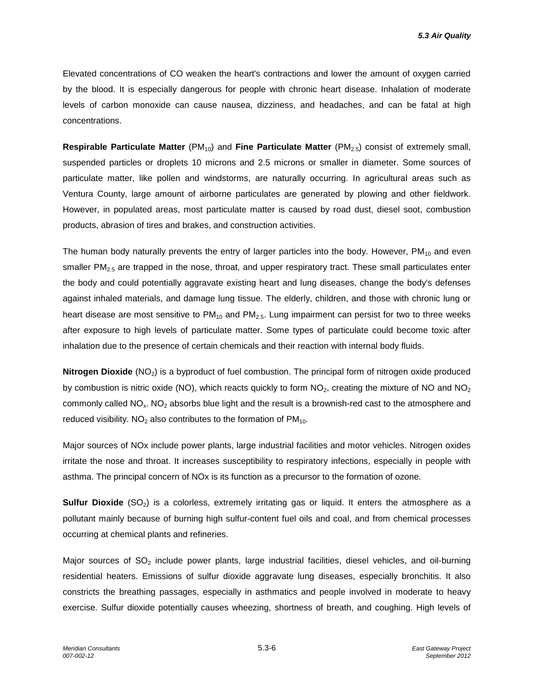Elevated concentrations of CO weaken the heart's contractions and lower the amount of oxygen carried by the blood. It is especially dangerous for people with chronic heart disease. Inhalation of moderate levels of carbon monoxide can cause nausea, dizziness, and headaches, and can be fatal at high concentrations.

**Respirable Particulate Matter** (PM<sub>10</sub>) and **Fine Particulate Matter** (PM<sub>2.5</sub>) consist of extremely small, suspended particles or droplets 10 microns and 2.5 microns or smaller in diameter. Some sources of particulate matter, like pollen and windstorms, are naturally occurring. In agricultural areas such as Ventura County, large amount of airborne particulates are generated by plowing and other fieldwork. However, in populated areas, most particulate matter is caused by road dust, diesel soot, combustion products, abrasion of tires and brakes, and construction activities.

The human body naturally prevents the entry of larger particles into the body. However,  $PM_{10}$  and even smaller PM $_{2.5}$  are trapped in the nose, throat, and upper respiratory tract. These small particulates enter the body and could potentially aggravate existing heart and lung diseases, change the body's defenses against inhaled materials, and damage lung tissue. The elderly, children, and those with chronic lung or heart disease are most sensitive to  $PM_{10}$  and  $PM_{2.5}$ . Lung impairment can persist for two to three weeks after exposure to high levels of particulate matter. Some types of particulate could become toxic after inhalation due to the presence of certain chemicals and their reaction with internal body fluids.

**Nitrogen Dioxide** (NO<sub>2</sub>) is a byproduct of fuel combustion. The principal form of nitrogen oxide produced by combustion is nitric oxide (NO), which reacts quickly to form  $NO<sub>2</sub>$ , creating the mixture of NO and NO<sub>2</sub> commonly called NO<sub>x</sub>. NO<sub>2</sub> absorbs blue light and the result is a brownish-red cast to the atmosphere and reduced visibility. NO<sub>2</sub> also contributes to the formation of  $PM_{10}$ .

Major sources of NOx include power plants, large industrial facilities and motor vehicles. Nitrogen oxides irritate the nose and throat. It increases susceptibility to respiratory infections, especially in people with asthma. The principal concern of NOx is its function as a precursor to the formation of ozone.

**Sulfur Dioxide** (SO<sub>2</sub>) is a colorless, extremely irritating gas or liquid. It enters the atmosphere as a pollutant mainly because of burning high sulfur-content fuel oils and coal, and from chemical processes occurring at chemical plants and refineries.

Major sources of  $SO<sub>2</sub>$  include power plants, large industrial facilities, diesel vehicles, and oil-burning residential heaters. Emissions of sulfur dioxide aggravate lung diseases, especially bronchitis. It also constricts the breathing passages, especially in asthmatics and people involved in moderate to heavy exercise. Sulfur dioxide potentially causes wheezing, shortness of breath, and coughing. High levels of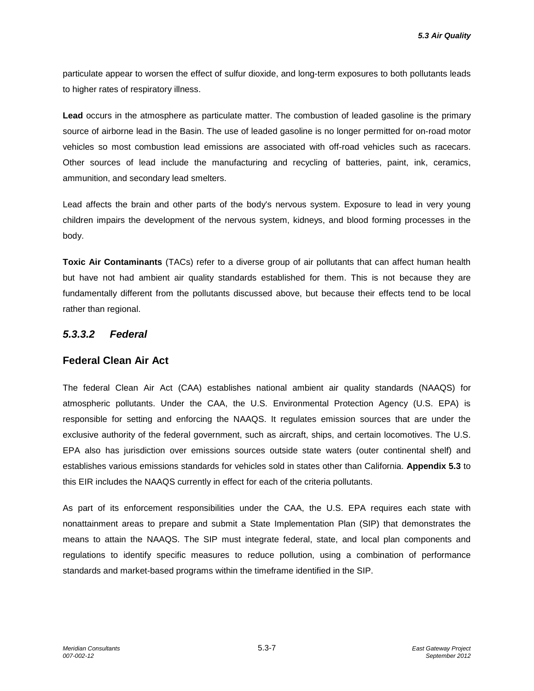particulate appear to worsen the effect of sulfur dioxide, and long-term exposures to both pollutants leads to higher rates of respiratory illness.

**Lead** occurs in the atmosphere as particulate matter. The combustion of leaded gasoline is the primary source of airborne lead in the Basin. The use of leaded gasoline is no longer permitted for on-road motor vehicles so most combustion lead emissions are associated with off-road vehicles such as racecars. Other sources of lead include the manufacturing and recycling of batteries, paint, ink, ceramics, ammunition, and secondary lead smelters.

Lead affects the brain and other parts of the body's nervous system. Exposure to lead in very young children impairs the development of the nervous system, kidneys, and blood forming processes in the body.

**Toxic Air Contaminants** (TACs) refer to a diverse group of air pollutants that can affect human health but have not had ambient air quality standards established for them. This is not because they are fundamentally different from the pollutants discussed above, but because their effects tend to be local rather than regional.

## *5.3.3.2 Federal*

#### **Federal Clean Air Act**

The federal Clean Air Act (CAA) establishes national ambient air quality standards (NAAQS) for atmospheric pollutants. Under the CAA, the U.S. Environmental Protection Agency (U.S. EPA) is responsible for setting and enforcing the NAAQS. It regulates emission sources that are under the exclusive authority of the federal government, such as aircraft, ships, and certain locomotives. The U.S. EPA also has jurisdiction over emissions sources outside state waters (outer continental shelf) and establishes various emissions standards for vehicles sold in states other than California. **Appendix 5.3** to this EIR includes the NAAQS currently in effect for each of the criteria pollutants.

As part of its enforcement responsibilities under the CAA, the U.S. EPA requires each state with nonattainment areas to prepare and submit a State Implementation Plan (SIP) that demonstrates the means to attain the NAAQS. The SIP must integrate federal, state, and local plan components and regulations to identify specific measures to reduce pollution, using a combination of performance standards and market-based programs within the timeframe identified in the SIP.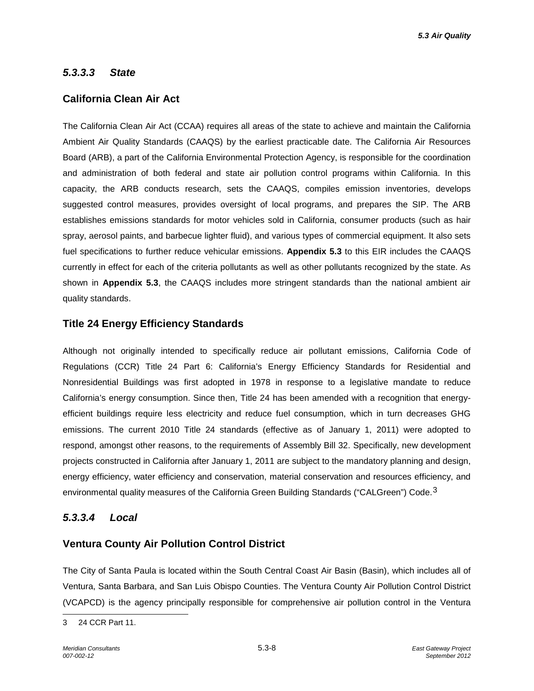#### *5.3.3.3 State*

#### **California Clean Air Act**

The California Clean Air Act (CCAA) requires all areas of the state to achieve and maintain the California Ambient Air Quality Standards (CAAQS) by the earliest practicable date. The California Air Resources Board (ARB), a part of the California Environmental Protection Agency, is responsible for the coordination and administration of both federal and state air pollution control programs within California. In this capacity, the ARB conducts research, sets the CAAQS, compiles emission inventories, develops suggested control measures, provides oversight of local programs, and prepares the SIP. The ARB establishes emissions standards for motor vehicles sold in California, consumer products (such as hair spray, aerosol paints, and barbecue lighter fluid), and various types of commercial equipment. It also sets fuel specifications to further reduce vehicular emissions. **Appendix 5.3** to this EIR includes the CAAQS currently in effect for each of the criteria pollutants as well as other pollutants recognized by the state. As shown in **Appendix 5.3**, the CAAQS includes more stringent standards than the national ambient air quality standards.

#### **Title 24 Energy Efficiency Standards**

Although not originally intended to specifically reduce air pollutant emissions, California Code of Regulations (CCR) Title 24 Part 6: California's Energy Efficiency Standards for Residential and Nonresidential Buildings was first adopted in 1978 in response to a legislative mandate to reduce California's energy consumption. Since then, Title 24 has been amended with a recognition that energyefficient buildings require less electricity and reduce fuel consumption, which in turn decreases GHG emissions. The current 2010 Title 24 standards (effective as of January 1, 2011) were adopted to respond, amongst other reasons, to the requirements of Assembly Bill 32. Specifically, new development projects constructed in California after January 1, 2011 are subject to the mandatory planning and design, energy efficiency, water efficiency and conservation, material conservation and resources efficiency, and environmental quality measures of the California Green Building Standards ("CALGreen") Code.<sup>[3](#page-7-0)</sup>

#### *5.3.3.4 Local*

#### **Ventura County Air Pollution Control District**

The City of Santa Paula is located within the South Central Coast Air Basin (Basin), which includes all of Ventura, Santa Barbara, and San Luis Obispo Counties. The Ventura County Air Pollution Control District (VCAPCD) is the agency principally responsible for comprehensive air pollution control in the Ventura

<span id="page-7-0"></span><sup>-</sup>3 24 CCR Part 11.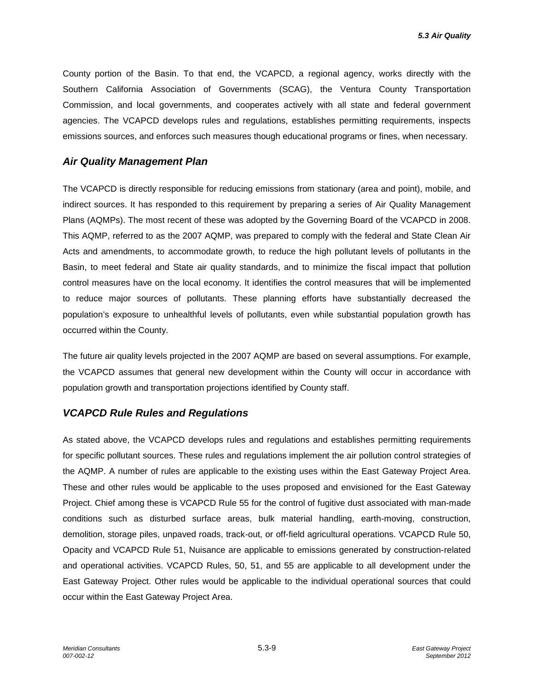County portion of the Basin. To that end, the VCAPCD, a regional agency, works directly with the Southern California Association of Governments (SCAG), the Ventura County Transportation Commission, and local governments, and cooperates actively with all state and federal government agencies. The VCAPCD develops rules and regulations, establishes permitting requirements, inspects emissions sources, and enforces such measures though educational programs or fines, when necessary.

#### *Air Quality Management Plan*

The VCAPCD is directly responsible for reducing emissions from stationary (area and point), mobile, and indirect sources. It has responded to this requirement by preparing a series of Air Quality Management Plans (AQMPs). The most recent of these was adopted by the Governing Board of the VCAPCD in 2008. This AQMP, referred to as the 2007 AQMP, was prepared to comply with the federal and State Clean Air Acts and amendments, to accommodate growth, to reduce the high pollutant levels of pollutants in the Basin, to meet federal and State air quality standards, and to minimize the fiscal impact that pollution control measures have on the local economy. It identifies the control measures that will be implemented to reduce major sources of pollutants. These planning efforts have substantially decreased the population's exposure to unhealthful levels of pollutants, even while substantial population growth has occurred within the County.

The future air quality levels projected in the 2007 AQMP are based on several assumptions. For example, the VCAPCD assumes that general new development within the County will occur in accordance with population growth and transportation projections identified by County staff.

## *VCAPCD Rule Rules and Regulations*

As stated above, the VCAPCD develops rules and regulations and establishes permitting requirements for specific pollutant sources. These rules and regulations implement the air pollution control strategies of the AQMP. A number of rules are applicable to the existing uses within the East Gateway Project Area. These and other rules would be applicable to the uses proposed and envisioned for the East Gateway Project. Chief among these is VCAPCD Rule 55 for the control of fugitive dust associated with man-made conditions such as disturbed surface areas, bulk material handling, earth-moving, construction, demolition, storage piles, unpaved roads, track-out, or off-field agricultural operations. VCAPCD Rule 50, Opacity and VCAPCD Rule 51, Nuisance are applicable to emissions generated by construction-related and operational activities. VCAPCD Rules, 50, 51, and 55 are applicable to all development under the East Gateway Project. Other rules would be applicable to the individual operational sources that could occur within the East Gateway Project Area.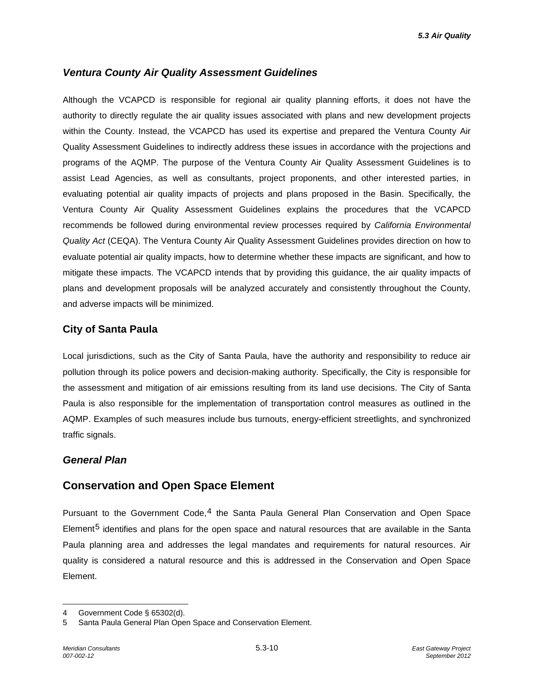### *Ventura County Air Quality Assessment Guidelines*

Although the VCAPCD is responsible for regional air quality planning efforts, it does not have the authority to directly regulate the air quality issues associated with plans and new development projects within the County. Instead, the VCAPCD has used its expertise and prepared the Ventura County Air Quality Assessment Guidelines to indirectly address these issues in accordance with the projections and programs of the AQMP. The purpose of the Ventura County Air Quality Assessment Guidelines is to assist Lead Agencies, as well as consultants, project proponents, and other interested parties, in evaluating potential air quality impacts of projects and plans proposed in the Basin. Specifically, the Ventura County Air Quality Assessment Guidelines explains the procedures that the VCAPCD recommends be followed during environmental review processes required by *California Environmental Quality Act* (CEQA). The Ventura County Air Quality Assessment Guidelines provides direction on how to evaluate potential air quality impacts, how to determine whether these impacts are significant, and how to mitigate these impacts. The VCAPCD intends that by providing this guidance, the air quality impacts of plans and development proposals will be analyzed accurately and consistently throughout the County, and adverse impacts will be minimized.

### **City of Santa Paula**

Local jurisdictions, such as the City of Santa Paula, have the authority and responsibility to reduce air pollution through its police powers and decision-making authority. Specifically, the City is responsible for the assessment and mitigation of air emissions resulting from its land use decisions. The City of Santa Paula is also responsible for the implementation of transportation control measures as outlined in the AQMP. Examples of such measures include bus turnouts, energy-efficient streetlights, and synchronized traffic signals.

#### *General Plan*

## **Conservation and Open Space Element**

Pursuant to the Government Code, $4$  the Santa Paula General Plan Conservation and Open Space Element<sup>[5](#page-9-1)</sup> identifies and plans for the open space and natural resources that are available in the Santa Paula planning area and addresses the legal mandates and requirements for natural resources. Air quality is considered a natural resource and this is addressed in the Conservation and Open Space Element.

-

<span id="page-9-0"></span><sup>4</sup> Government Code § 65302(d).

<span id="page-9-1"></span><sup>5</sup> Santa Paula General Plan Open Space and Conservation Element.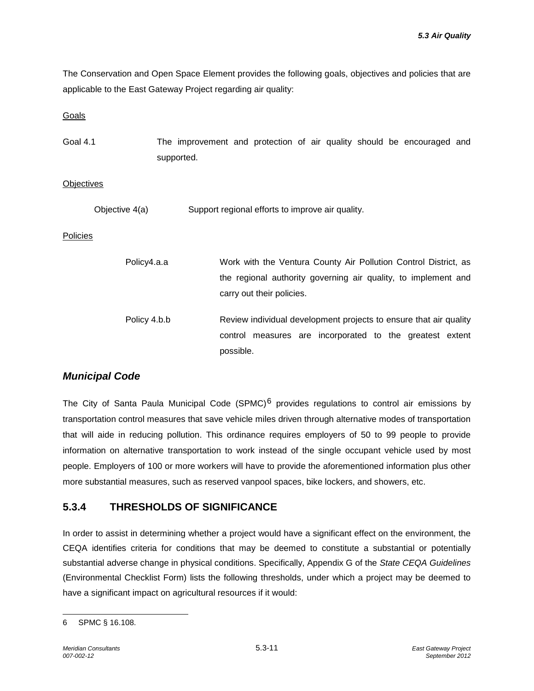The Conservation and Open Space Element provides the following goals, objectives and policies that are applicable to the East Gateway Project regarding air quality:

**Goals** 

| Goal 4.1 | The improvement and protection of air quality should be encouraged and |  |  |  |  |  |
|----------|------------------------------------------------------------------------|--|--|--|--|--|
|          | supported.                                                             |  |  |  |  |  |

#### **Objectives**

Objective 4(a) Support regional efforts to improve air quality.

Policies

| Policy4.a.a  | Work with the Ventura County Air Pollution Control District, as<br>the regional authority governing air quality, to implement and<br>carry out their policies. |
|--------------|----------------------------------------------------------------------------------------------------------------------------------------------------------------|
| Policy 4.b.b | Review individual development projects to ensure that air quality<br>control measures are incorporated to the greatest extent<br>possible.                     |

## *Municipal Code*

The City of Santa Paula Municipal Code (SPMC)<sup>[6](#page-10-0)</sup> provides regulations to control air emissions by transportation control measures that save vehicle miles driven through alternative modes of transportation that will aide in reducing pollution. This ordinance requires employers of 50 to 99 people to provide information on alternative transportation to work instead of the single occupant vehicle used by most people. Employers of 100 or more workers will have to provide the aforementioned information plus other more substantial measures, such as reserved vanpool spaces, bike lockers, and showers, etc.

## **5.3.4 THRESHOLDS OF SIGNIFICANCE**

In order to assist in determining whether a project would have a significant effect on the environment, the CEQA identifies criteria for conditions that may be deemed to constitute a substantial or potentially substantial adverse change in physical conditions. Specifically, Appendix G of the *State CEQA Guidelines* (Environmental Checklist Form) lists the following thresholds, under which a project may be deemed to have a significant impact on agricultural resources if it would:

<span id="page-10-0"></span><sup>-</sup>6 SPMC § 16.108.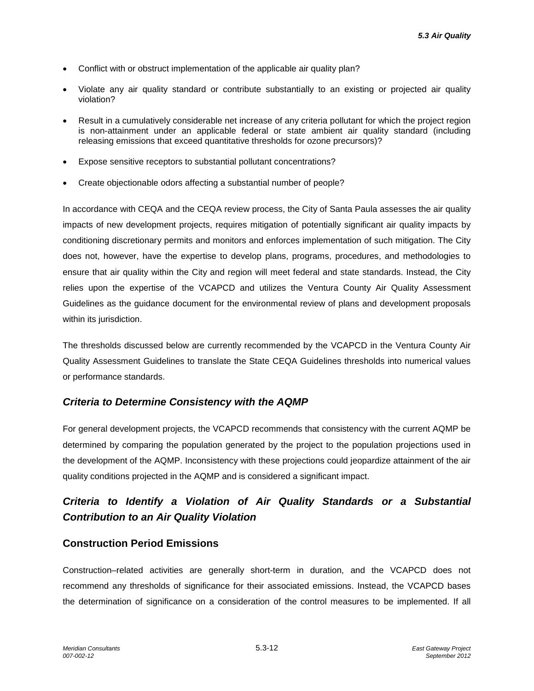- Conflict with or obstruct implementation of the applicable air quality plan?
- Violate any air quality standard or contribute substantially to an existing or projected air quality violation?
- Result in a cumulatively considerable net increase of any criteria pollutant for which the project region is non-attainment under an applicable federal or state ambient air quality standard (including releasing emissions that exceed quantitative thresholds for ozone precursors)?
- Expose sensitive receptors to substantial pollutant concentrations?
- Create objectionable odors affecting a substantial number of people?

In accordance with CEQA and the CEQA review process, the City of Santa Paula assesses the air quality impacts of new development projects, requires mitigation of potentially significant air quality impacts by conditioning discretionary permits and monitors and enforces implementation of such mitigation. The City does not, however, have the expertise to develop plans, programs, procedures, and methodologies to ensure that air quality within the City and region will meet federal and state standards. Instead, the City relies upon the expertise of the VCAPCD and utilizes the Ventura County Air Quality Assessment Guidelines as the guidance document for the environmental review of plans and development proposals within its jurisdiction.

The thresholds discussed below are currently recommended by the VCAPCD in the Ventura County Air Quality Assessment Guidelines to translate the State CEQA Guidelines thresholds into numerical values or performance standards.

#### *Criteria to Determine Consistency with the AQMP*

For general development projects, the VCAPCD recommends that consistency with the current AQMP be determined by comparing the population generated by the project to the population projections used in the development of the AQMP. Inconsistency with these projections could jeopardize attainment of the air quality conditions projected in the AQMP and is considered a significant impact.

# *Criteria to Identify a Violation of Air Quality Standards or a Substantial Contribution to an Air Quality Violation*

#### **Construction Period Emissions**

Construction–related activities are generally short-term in duration, and the VCAPCD does not recommend any thresholds of significance for their associated emissions. Instead, the VCAPCD bases the determination of significance on a consideration of the control measures to be implemented. If all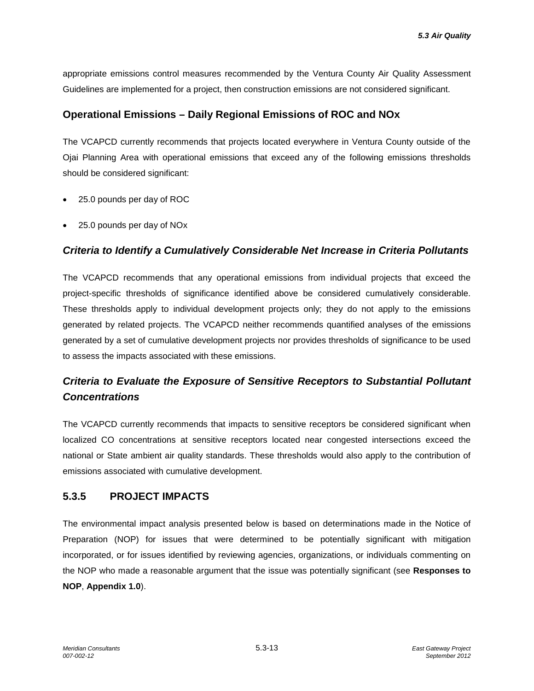appropriate emissions control measures recommended by the Ventura County Air Quality Assessment Guidelines are implemented for a project, then construction emissions are not considered significant.

## **Operational Emissions – Daily Regional Emissions of ROC and NOx**

The VCAPCD currently recommends that projects located everywhere in Ventura County outside of the Ojai Planning Area with operational emissions that exceed any of the following emissions thresholds should be considered significant:

- 25.0 pounds per day of ROC
- 25.0 pounds per day of NOx

### *Criteria to Identify a Cumulatively Considerable Net Increase in Criteria Pollutants*

The VCAPCD recommends that any operational emissions from individual projects that exceed the project-specific thresholds of significance identified above be considered cumulatively considerable. These thresholds apply to individual development projects only; they do not apply to the emissions generated by related projects. The VCAPCD neither recommends quantified analyses of the emissions generated by a set of cumulative development projects nor provides thresholds of significance to be used to assess the impacts associated with these emissions.

# *Criteria to Evaluate the Exposure of Sensitive Receptors to Substantial Pollutant Concentrations*

The VCAPCD currently recommends that impacts to sensitive receptors be considered significant when localized CO concentrations at sensitive receptors located near congested intersections exceed the national or State ambient air quality standards. These thresholds would also apply to the contribution of emissions associated with cumulative development.

## **5.3.5 PROJECT IMPACTS**

The environmental impact analysis presented below is based on determinations made in the Notice of Preparation (NOP) for issues that were determined to be potentially significant with mitigation incorporated, or for issues identified by reviewing agencies, organizations, or individuals commenting on the NOP who made a reasonable argument that the issue was potentially significant (see **Responses to NOP**, **Appendix 1.0**).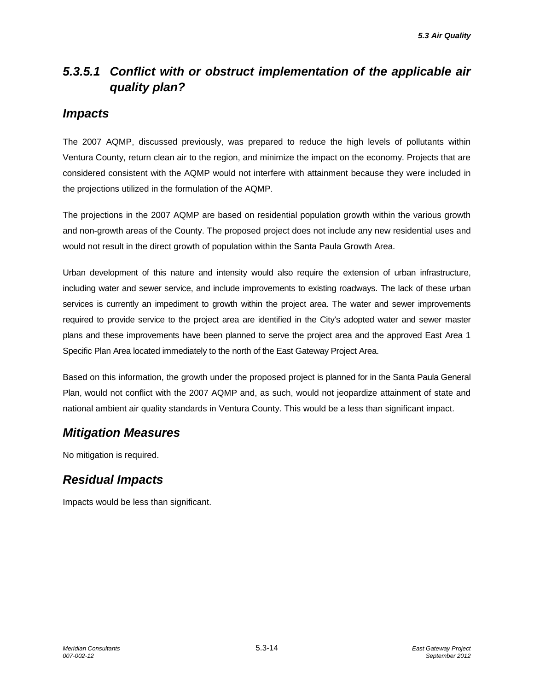# *5.3.5.1 Conflict with or obstruct implementation of the applicable air quality plan?*

## *Impacts*

The 2007 AQMP, discussed previously, was prepared to reduce the high levels of pollutants within Ventura County, return clean air to the region, and minimize the impact on the economy. Projects that are considered consistent with the AQMP would not interfere with attainment because they were included in the projections utilized in the formulation of the AQMP.

The projections in the 2007 AQMP are based on residential population growth within the various growth and non-growth areas of the County. The proposed project does not include any new residential uses and would not result in the direct growth of population within the Santa Paula Growth Area.

Urban development of this nature and intensity would also require the extension of urban infrastructure, including water and sewer service, and include improvements to existing roadways. The lack of these urban services is currently an impediment to growth within the project area. The water and sewer improvements required to provide service to the project area are identified in the City's adopted water and sewer master plans and these improvements have been planned to serve the project area and the approved East Area 1 Specific Plan Area located immediately to the north of the East Gateway Project Area.

Based on this information, the growth under the proposed project is planned for in the Santa Paula General Plan, would not conflict with the 2007 AQMP and, as such, would not jeopardize attainment of state and national ambient air quality standards in Ventura County. This would be a less than significant impact.

# *Mitigation Measures*

No mitigation is required.

# *Residual Impacts*

Impacts would be less than significant.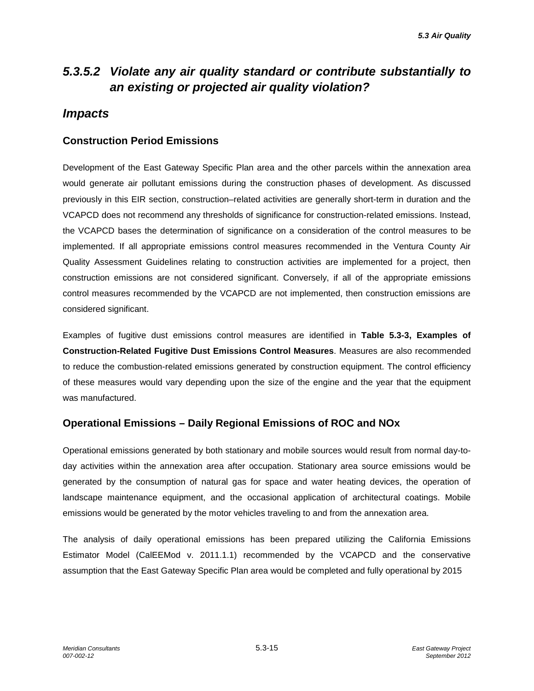# *5.3.5.2 Violate any air quality standard or contribute substantially to an existing or projected air quality violation?*

# *Impacts*

## **Construction Period Emissions**

Development of the East Gateway Specific Plan area and the other parcels within the annexation area would generate air pollutant emissions during the construction phases of development. As discussed previously in this EIR section, construction–related activities are generally short-term in duration and the VCAPCD does not recommend any thresholds of significance for construction-related emissions. Instead, the VCAPCD bases the determination of significance on a consideration of the control measures to be implemented. If all appropriate emissions control measures recommended in the Ventura County Air Quality Assessment Guidelines relating to construction activities are implemented for a project, then construction emissions are not considered significant. Conversely, if all of the appropriate emissions control measures recommended by the VCAPCD are not implemented, then construction emissions are considered significant.

Examples of fugitive dust emissions control measures are identified in **Table 5.3-3, Examples of Construction-Related Fugitive Dust Emissions Control Measures**. Measures are also recommended to reduce the combustion-related emissions generated by construction equipment. The control efficiency of these measures would vary depending upon the size of the engine and the year that the equipment was manufactured.

## **Operational Emissions – Daily Regional Emissions of ROC and NOx**

Operational emissions generated by both stationary and mobile sources would result from normal day-today activities within the annexation area after occupation. Stationary area source emissions would be generated by the consumption of natural gas for space and water heating devices, the operation of landscape maintenance equipment, and the occasional application of architectural coatings. Mobile emissions would be generated by the motor vehicles traveling to and from the annexation area.

The analysis of daily operational emissions has been prepared utilizing the California Emissions Estimator Model (CalEEMod v. 2011.1.1) recommended by the VCAPCD and the conservative assumption that the East Gateway Specific Plan area would be completed and fully operational by 2015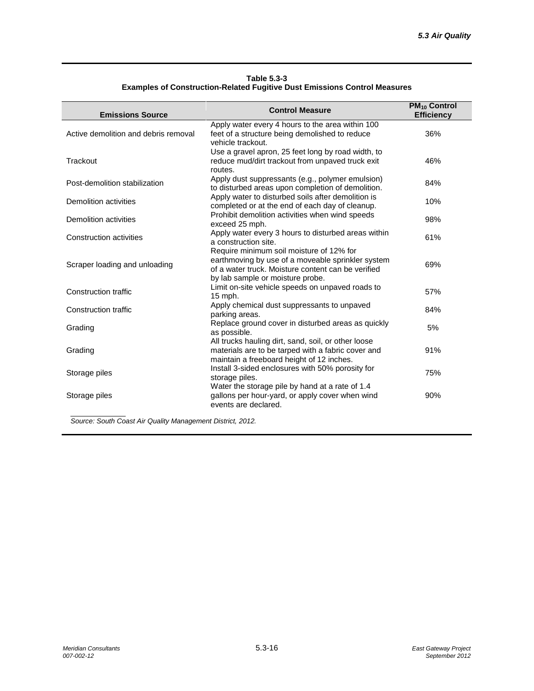| Table 5.3-3                                                                      |
|----------------------------------------------------------------------------------|
| <b>Examples of Construction-Related Fugitive Dust Emissions Control Measures</b> |

| <b>Emissions Source</b>              | <b>Control Measure</b>                                                                                                                                                                  | <b>PM<sub>10</sub> Control</b><br><b>Efficiency</b> |
|--------------------------------------|-----------------------------------------------------------------------------------------------------------------------------------------------------------------------------------------|-----------------------------------------------------|
| Active demolition and debris removal | Apply water every 4 hours to the area within 100<br>feet of a structure being demolished to reduce<br>vehicle trackout.                                                                 | 36%                                                 |
| Trackout                             | Use a gravel apron, 25 feet long by road width, to<br>reduce mud/dirt trackout from unpaved truck exit<br>routes.                                                                       | 46%                                                 |
| Post-demolition stabilization        | Apply dust suppressants (e.g., polymer emulsion)<br>to disturbed areas upon completion of demolition.                                                                                   | 84%                                                 |
| Demolition activities                | Apply water to disturbed soils after demolition is<br>completed or at the end of each day of cleanup.                                                                                   | 10%                                                 |
| Demolition activities                | Prohibit demolition activities when wind speeds<br>exceed 25 mph.                                                                                                                       | 98%                                                 |
| <b>Construction activities</b>       | Apply water every 3 hours to disturbed areas within<br>a construction site.                                                                                                             | 61%                                                 |
| Scraper loading and unloading        | Require minimum soil moisture of 12% for<br>earthmoving by use of a moveable sprinkler system<br>of a water truck. Moisture content can be verified<br>by lab sample or moisture probe. | 69%                                                 |
| Construction traffic                 | Limit on-site vehicle speeds on unpaved roads to<br>$15$ mph.                                                                                                                           | 57%                                                 |
| <b>Construction traffic</b>          | Apply chemical dust suppressants to unpaved<br>parking areas.                                                                                                                           | 84%                                                 |
| Grading                              | Replace ground cover in disturbed areas as quickly<br>as possible.                                                                                                                      | 5%                                                  |
| Grading                              | All trucks hauling dirt, sand, soil, or other loose<br>materials are to be tarped with a fabric cover and<br>maintain a freeboard height of 12 inches.                                  | 91%                                                 |
| Storage piles                        | Install 3-sided enclosures with 50% porosity for<br>storage piles.                                                                                                                      | 75%                                                 |
| Storage piles                        | Water the storage pile by hand at a rate of 1.4<br>gallons per hour-yard, or apply cover when wind<br>events are declared.                                                              | 90%                                                 |

*Source: South Coast Air Quality Management District, 2012.*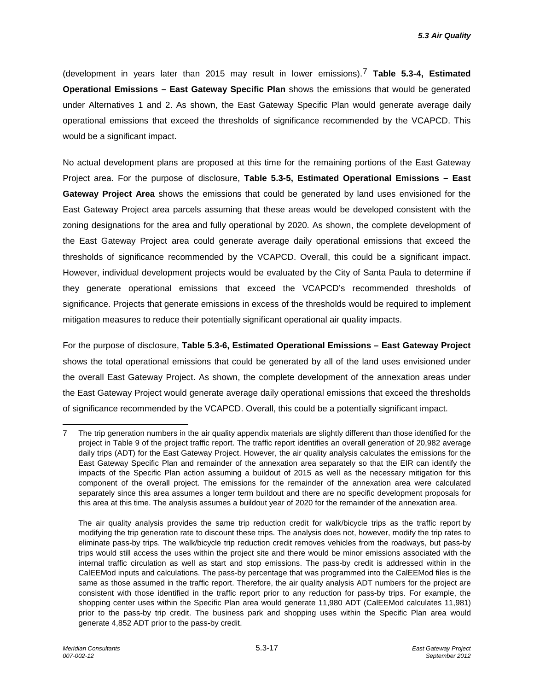(development in years later than 2015 may result in lower emissions).[7](#page-16-0) **Table 5.3-4, Estimated Operational Emissions – East Gateway Specific Plan** shows the emissions that would be generated under Alternatives 1 and 2. As shown, the East Gateway Specific Plan would generate average daily operational emissions that exceed the thresholds of significance recommended by the VCAPCD. This would be a significant impact.

No actual development plans are proposed at this time for the remaining portions of the East Gateway Project area. For the purpose of disclosure, **Table 5.3-5, Estimated Operational Emissions – East Gateway Project Area** shows the emissions that could be generated by land uses envisioned for the East Gateway Project area parcels assuming that these areas would be developed consistent with the zoning designations for the area and fully operational by 2020. As shown, the complete development of the East Gateway Project area could generate average daily operational emissions that exceed the thresholds of significance recommended by the VCAPCD. Overall, this could be a significant impact. However, individual development projects would be evaluated by the City of Santa Paula to determine if they generate operational emissions that exceed the VCAPCD's recommended thresholds of significance. Projects that generate emissions in excess of the thresholds would be required to implement mitigation measures to reduce their potentially significant operational air quality impacts.

For the purpose of disclosure, **Table 5.3-6, Estimated Operational Emissions – East Gateway Project**  shows the total operational emissions that could be generated by all of the land uses envisioned under the overall East Gateway Project. As shown, the complete development of the annexation areas under the East Gateway Project would generate average daily operational emissions that exceed the thresholds of significance recommended by the VCAPCD. Overall, this could be a potentially significant impact.

<span id="page-16-0"></span><sup>-</sup>7 The trip generation numbers in the air quality appendix materials are slightly different than those identified for the project in Table 9 of the project traffic report. The traffic report identifies an overall generation of 20,982 average daily trips (ADT) for the East Gateway Project. However, the air quality analysis calculates the emissions for the East Gateway Specific Plan and remainder of the annexation area separately so that the EIR can identify the impacts of the Specific Plan action assuming a buildout of 2015 as well as the necessary mitigation for this component of the overall project. The emissions for the remainder of the annexation area were calculated separately since this area assumes a longer term buildout and there are no specific development proposals for this area at this time. The analysis assumes a buildout year of 2020 for the remainder of the annexation area.

The air quality analysis provides the same trip reduction credit for walk/bicycle trips as the traffic report by modifying the trip generation rate to discount these trips. The analysis does not, however, modify the trip rates to eliminate pass-by trips. The walk/bicycle trip reduction credit removes vehicles from the roadways, but pass-by trips would still access the uses within the project site and there would be minor emissions associated with the internal traffic circulation as well as start and stop emissions. The pass-by credit is addressed within in the CalEEMod inputs and calculations. The pass-by percentage that was programmed into the CalEEMod files is the same as those assumed in the traffic report. Therefore, the air quality analysis ADT numbers for the project are consistent with those identified in the traffic report prior to any reduction for pass-by trips. For example, the shopping center uses within the Specific Plan area would generate 11,980 ADT (CalEEMod calculates 11,981) prior to the pass-by trip credit. The business park and shopping uses within the Specific Plan area would generate 4,852 ADT prior to the pass-by credit.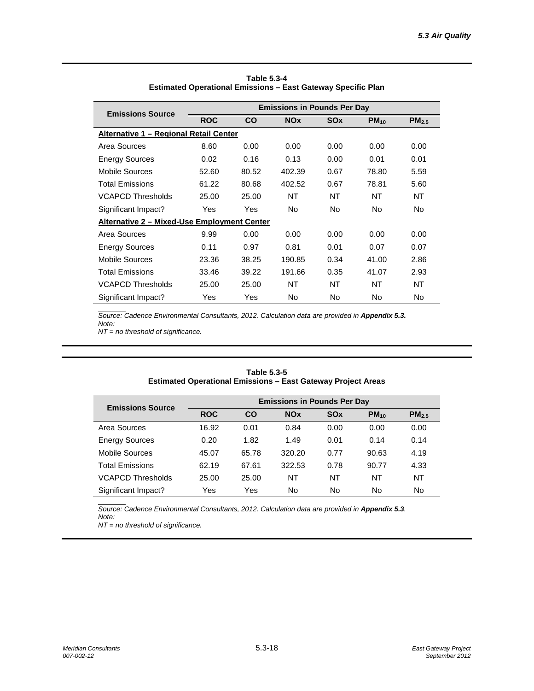| <b>Emissions Source</b>                                   | <b>Emissions in Pounds Per Day</b> |       |                       |            |           |            |  |  |
|-----------------------------------------------------------|------------------------------------|-------|-----------------------|------------|-----------|------------|--|--|
|                                                           | <b>ROC</b>                         | CO    | <b>NO<sub>x</sub></b> | <b>SOx</b> | $PM_{10}$ | $PM_{2.5}$ |  |  |
| <u> Alternative 1 – Regional Retail Center</u>            |                                    |       |                       |            |           |            |  |  |
| Area Sources                                              | 8.60                               | 0.00  | 0.00                  | 0.00       | 0.00      | 0.00       |  |  |
| <b>Energy Sources</b>                                     | 0.02                               | 0.16  | 0.13                  | 0.00       | 0.01      | 0.01       |  |  |
| Mobile Sources                                            | 52.60                              | 80.52 | 402.39                | 0.67       | 78.80     | 5.59       |  |  |
| <b>Total Emissions</b>                                    | 61.22                              | 80.68 | 402.52                | 0.67       | 78.81     | 5.60       |  |  |
| <b>VCAPCD Thresholds</b>                                  | 25.00                              | 25.00 | NT                    | NT         | NT        | NT         |  |  |
| Significant Impact?                                       | Yes                                | Yes   | <b>No</b>             | <b>No</b>  | No.       | <b>No</b>  |  |  |
| <u><b>Alternative 2 – Mixed-Use Employment Center</b></u> |                                    |       |                       |            |           |            |  |  |
| Area Sources                                              | 9.99                               | 0.00  | 0.00                  | 0.00       | 0.00      | 0.00       |  |  |
| <b>Energy Sources</b>                                     | 0.11                               | 0.97  | 0.81                  | 0.01       | 0.07      | 0.07       |  |  |
| Mobile Sources                                            | 23.36                              | 38.25 | 190.85                | 0.34       | 41.00     | 2.86       |  |  |
| <b>Total Emissions</b>                                    | 33.46                              | 39.22 | 191.66                | 0.35       | 41.07     | 2.93       |  |  |
| <b>VCAPCD Thresholds</b>                                  | 25.00                              | 25.00 | NT                    | NT         | NT        | NT         |  |  |
| Significant Impact?                                       | Yes                                | Yes   | No.                   | <b>No</b>  | No.       | No.        |  |  |

| Table 5.3-4                                                  |
|--------------------------------------------------------------|
| Estimated Operational Emissions – East Gateway Specific Plan |

**Source: Cadence Environmental Consultants, 2012. Calculation data are provided in Appendix 5.3.** *Note:*

*NT = no threshold of significance.*

| <b>Emissions Source</b>  |            |       | <b>Emissions in Pounds Per Day</b> |                       |           |                   |
|--------------------------|------------|-------|------------------------------------|-----------------------|-----------|-------------------|
|                          | <b>ROC</b> | CO    | <b>NO<sub>x</sub></b>              | <b>SO<sub>x</sub></b> | $PM_{10}$ | PM <sub>2.5</sub> |
| Area Sources             | 16.92      | 0.01  | 0.84                               | 0.00                  | 0.00      | 0.00              |
| <b>Energy Sources</b>    | 0.20       | 1.82  | 1.49                               | 0.01                  | 0.14      | 0.14              |
| Mobile Sources           | 45.07      | 65.78 | 320.20                             | 0.77                  | 90.63     | 4.19              |
| <b>Total Emissions</b>   | 62.19      | 67.61 | 322.53                             | 0.78                  | 90.77     | 4.33              |
| <b>VCAPCD Thresholds</b> | 25.00      | 25.00 | NT                                 | NΤ                    | NT        | <b>NT</b>         |
| Significant Impact?      | Yes        | Yes   | <b>No</b>                          | No                    | No        | No                |

**Table 5.3-5 Estimated Operational Emissions – East Gateway Project Areas**

 $\overline{Source:}$  Cadence Environmental Consultants, 2012. Calculation data are provided in Appendix 5.3. *Note:*

*NT = no threshold of significance.*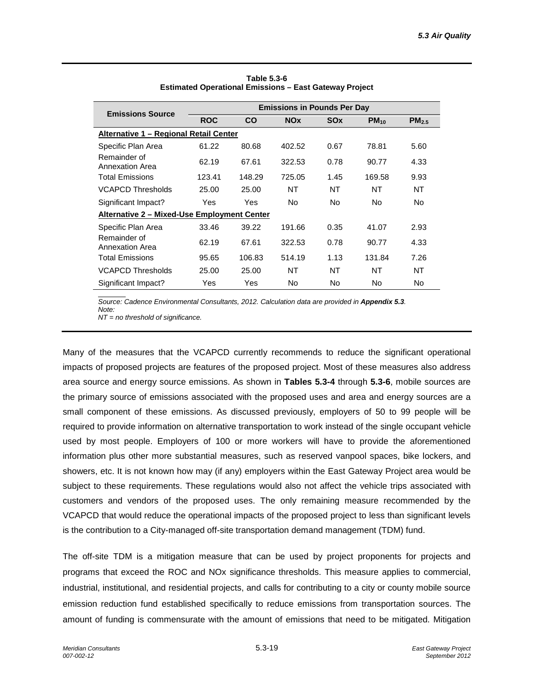| <b>Emissions Source</b>                     | <b>Emissions in Pounds Per Day</b> |        |                |                       |           |            |  |  |
|---------------------------------------------|------------------------------------|--------|----------------|-----------------------|-----------|------------|--|--|
|                                             | <b>ROC</b>                         | CO     | <b>NOx</b>     | <b>SO<sub>x</sub></b> | $PM_{10}$ | $PM_{2.5}$ |  |  |
| Alternative 1 - Regional Retail Center      |                                    |        |                |                       |           |            |  |  |
| Specific Plan Area                          | 61.22                              | 80.68  | 402.52         | 0.67                  | 78.81     | 5.60       |  |  |
| Remainder of<br><b>Annexation Area</b>      | 62.19                              | 67.61  | 322.53         | 0.78                  | 90.77     | 4.33       |  |  |
| <b>Total Emissions</b>                      | 123.41                             | 148.29 | 725.05         | 1.45                  | 169.58    | 9.93       |  |  |
| <b>VCAPCD Thresholds</b>                    | 25.00                              | 25.00  | NT             | NT                    | NT        | NT         |  |  |
| Significant Impact?                         | Yes                                | Yes    | N <sub>o</sub> | No.                   | No.       | No.        |  |  |
| Alternative 2 - Mixed-Use Employment Center |                                    |        |                |                       |           |            |  |  |
| Specific Plan Area                          | 33.46                              | 39.22  | 191.66         | 0.35                  | 41.07     | 2.93       |  |  |
| Remainder of<br><b>Annexation Area</b>      | 62.19                              | 67.61  | 322.53         | 0.78                  | 90.77     | 4.33       |  |  |
| <b>Total Emissions</b>                      | 95.65                              | 106.83 | 514.19         | 1.13                  | 131.84    | 7.26       |  |  |
| <b>VCAPCD Thresholds</b>                    | 25.00                              | 25.00  | NT             | NT                    | NT        | NT         |  |  |
| Significant Impact?                         | Yes                                | Yes    | No.            | No.                   | No        | No         |  |  |

**Table 5.3-6 Estimated Operational Emissions – East Gateway Project**

**Source: Cadence Environmental Consultants, 2012. Calculation data are provided in Appendix 5.3.** *Note:*

*NT = no threshold of significance.*

Many of the measures that the VCAPCD currently recommends to reduce the significant operational impacts of proposed projects are features of the proposed project. Most of these measures also address area source and energy source emissions. As shown in **Tables 5.3-4** through **5.3-6**, mobile sources are the primary source of emissions associated with the proposed uses and area and energy sources are a small component of these emissions. As discussed previously, employers of 50 to 99 people will be required to provide information on alternative transportation to work instead of the single occupant vehicle used by most people. Employers of 100 or more workers will have to provide the aforementioned information plus other more substantial measures, such as reserved vanpool spaces, bike lockers, and showers, etc. It is not known how may (if any) employers within the East Gateway Project area would be subject to these requirements. These regulations would also not affect the vehicle trips associated with customers and vendors of the proposed uses. The only remaining measure recommended by the VCAPCD that would reduce the operational impacts of the proposed project to less than significant levels is the contribution to a City-managed off-site transportation demand management (TDM) fund.

The off-site TDM is a mitigation measure that can be used by project proponents for projects and programs that exceed the ROC and NOx significance thresholds. This measure applies to commercial, industrial, institutional, and residential projects, and calls for contributing to a city or county mobile source emission reduction fund established specifically to reduce emissions from transportation sources. The amount of funding is commensurate with the amount of emissions that need to be mitigated. Mitigation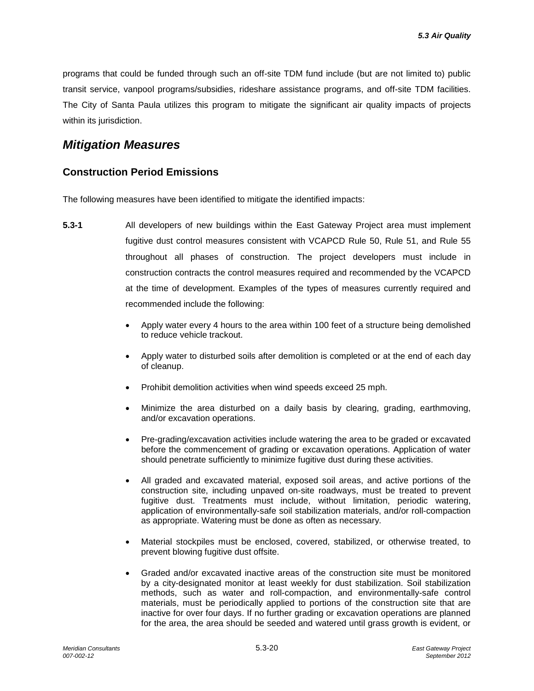programs that could be funded through such an off-site TDM fund include (but are not limited to) public transit service, vanpool programs/subsidies, rideshare assistance programs, and off-site TDM facilities. The City of Santa Paula utilizes this program to mitigate the significant air quality impacts of projects within its jurisdiction.

## *Mitigation Measures*

### **Construction Period Emissions**

The following measures have been identified to mitigate the identified impacts:

- **5.3-1** All developers of new buildings within the East Gateway Project area must implement fugitive dust control measures consistent with VCAPCD Rule 50, Rule 51, and Rule 55 throughout all phases of construction. The project developers must include in construction contracts the control measures required and recommended by the VCAPCD at the time of development. Examples of the types of measures currently required and recommended include the following:
	- Apply water every 4 hours to the area within 100 feet of a structure being demolished to reduce vehicle trackout.
	- Apply water to disturbed soils after demolition is completed or at the end of each day of cleanup.
	- Prohibit demolition activities when wind speeds exceed 25 mph.
	- Minimize the area disturbed on a daily basis by clearing, grading, earthmoving, and/or excavation operations.
	- Pre-grading/excavation activities include watering the area to be graded or excavated before the commencement of grading or excavation operations. Application of water should penetrate sufficiently to minimize fugitive dust during these activities.
	- All graded and excavated material, exposed soil areas, and active portions of the construction site, including unpaved on-site roadways, must be treated to prevent fugitive dust. Treatments must include, without limitation, periodic watering, application of environmentally-safe soil stabilization materials, and/or roll-compaction as appropriate. Watering must be done as often as necessary.
	- Material stockpiles must be enclosed, covered, stabilized, or otherwise treated, to prevent blowing fugitive dust offsite.
	- Graded and/or excavated inactive areas of the construction site must be monitored by a city-designated monitor at least weekly for dust stabilization. Soil stabilization methods, such as water and roll-compaction, and environmentally-safe control materials, must be periodically applied to portions of the construction site that are inactive for over four days. If no further grading or excavation operations are planned for the area, the area should be seeded and watered until grass growth is evident, or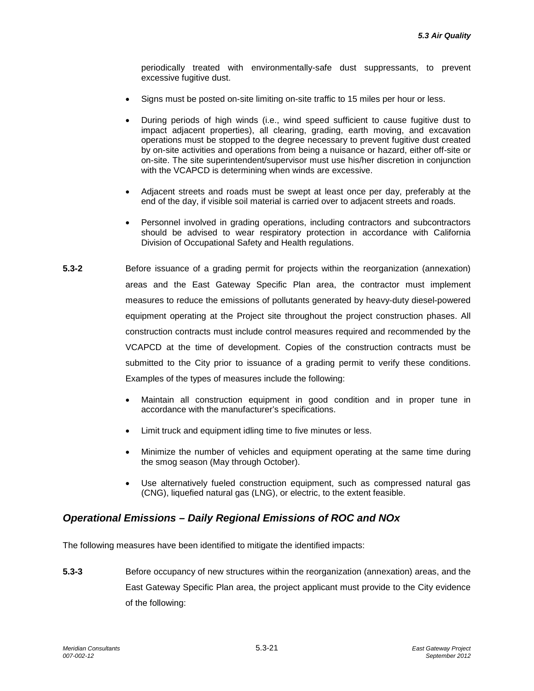periodically treated with environmentally-safe dust suppressants, to prevent excessive fugitive dust.

- Signs must be posted on-site limiting on-site traffic to 15 miles per hour or less.
- During periods of high winds (i.e., wind speed sufficient to cause fugitive dust to impact adjacent properties), all clearing, grading, earth moving, and excavation operations must be stopped to the degree necessary to prevent fugitive dust created by on-site activities and operations from being a nuisance or hazard, either off-site or on-site. The site superintendent/supervisor must use his/her discretion in conjunction with the VCAPCD is determining when winds are excessive.
- Adjacent streets and roads must be swept at least once per day, preferably at the end of the day, if visible soil material is carried over to adjacent streets and roads.
- Personnel involved in grading operations, including contractors and subcontractors should be advised to wear respiratory protection in accordance with California Division of Occupational Safety and Health regulations.
- **5.3-2** Before issuance of a grading permit for projects within the reorganization (annexation) areas and the East Gateway Specific Plan area, the contractor must implement measures to reduce the emissions of pollutants generated by heavy-duty diesel-powered equipment operating at the Project site throughout the project construction phases. All construction contracts must include control measures required and recommended by the VCAPCD at the time of development. Copies of the construction contracts must be submitted to the City prior to issuance of a grading permit to verify these conditions. Examples of the types of measures include the following:
	- Maintain all construction equipment in good condition and in proper tune in accordance with the manufacturer's specifications.
	- Limit truck and equipment idling time to five minutes or less.
	- Minimize the number of vehicles and equipment operating at the same time during the smog season (May through October).
	- Use alternatively fueled construction equipment, such as compressed natural gas (CNG), liquefied natural gas (LNG), or electric, to the extent feasible.

## *Operational Emissions – Daily Regional Emissions of ROC and NOx*

The following measures have been identified to mitigate the identified impacts:

**5.3-3** Before occupancy of new structures within the reorganization (annexation) areas, and the East Gateway Specific Plan area, the project applicant must provide to the City evidence of the following: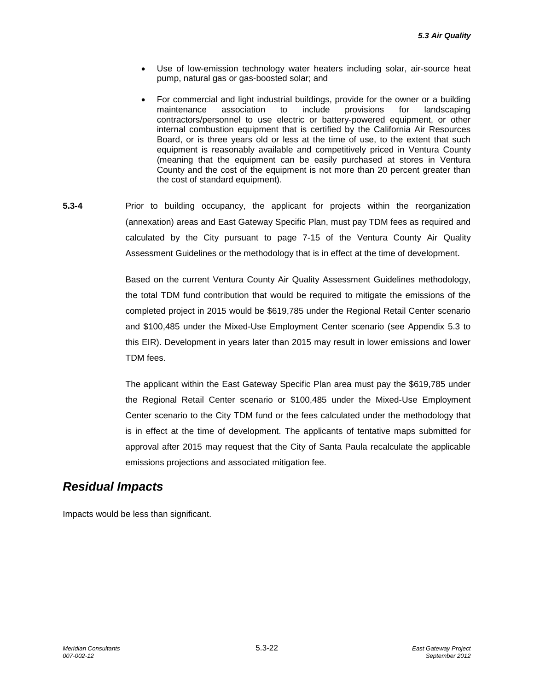- Use of low-emission technology water heaters including solar, air-source heat pump, natural gas or gas-boosted solar; and
- For commercial and light industrial buildings, provide for the owner or a building<br>maintenance association to include provisions for landscaping maintenance association to include provisions for landscaping contractors/personnel to use electric or battery-powered equipment, or other internal combustion equipment that is certified by the California Air Resources Board, or is three years old or less at the time of use, to the extent that such equipment is reasonably available and competitively priced in Ventura County (meaning that the equipment can be easily purchased at stores in Ventura County and the cost of the equipment is not more than 20 percent greater than the cost of standard equipment).
- **5.3-4** Prior to building occupancy, the applicant for projects within the reorganization (annexation) areas and East Gateway Specific Plan, must pay TDM fees as required and calculated by the City pursuant to page 7-15 of the Ventura County Air Quality Assessment Guidelines or the methodology that is in effect at the time of development.

Based on the current Ventura County Air Quality Assessment Guidelines methodology, the total TDM fund contribution that would be required to mitigate the emissions of the completed project in 2015 would be \$619,785 under the Regional Retail Center scenario and \$100,485 under the Mixed-Use Employment Center scenario (see Appendix 5.3 to this EIR). Development in years later than 2015 may result in lower emissions and lower TDM fees.

The applicant within the East Gateway Specific Plan area must pay the \$619,785 under the Regional Retail Center scenario or \$100,485 under the Mixed-Use Employment Center scenario to the City TDM fund or the fees calculated under the methodology that is in effect at the time of development. The applicants of tentative maps submitted for approval after 2015 may request that the City of Santa Paula recalculate the applicable emissions projections and associated mitigation fee.

# *Residual Impacts*

Impacts would be less than significant.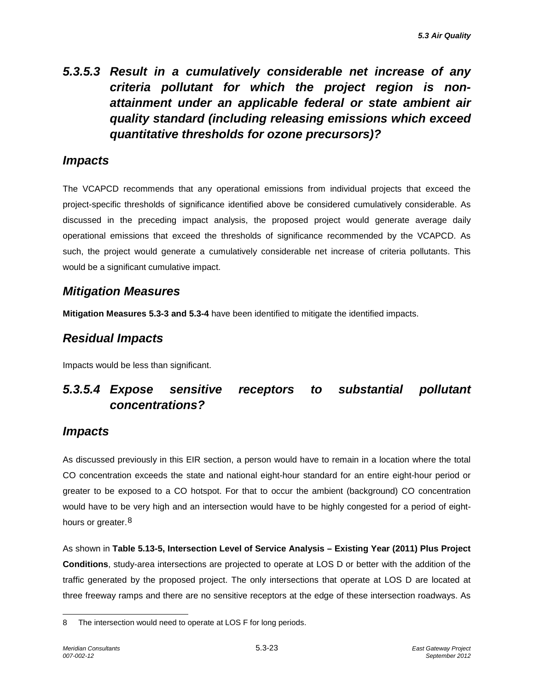# *5.3.5.3 Result in a cumulatively considerable net increase of any criteria pollutant for which the project region is nonattainment under an applicable federal or state ambient air quality standard (including releasing emissions which exceed quantitative thresholds for ozone precursors)?*

# *Impacts*

The VCAPCD recommends that any operational emissions from individual projects that exceed the project-specific thresholds of significance identified above be considered cumulatively considerable. As discussed in the preceding impact analysis, the proposed project would generate average daily operational emissions that exceed the thresholds of significance recommended by the VCAPCD. As such, the project would generate a cumulatively considerable net increase of criteria pollutants. This would be a significant cumulative impact.

# *Mitigation Measures*

**Mitigation Measures 5.3-3 and 5.3-4** have been identified to mitigate the identified impacts.

# *Residual Impacts*

Impacts would be less than significant.

# *5.3.5.4 Expose sensitive receptors to substantial pollutant concentrations?*

# *Impacts*

As discussed previously in this EIR section, a person would have to remain in a location where the total CO concentration exceeds the state and national eight-hour standard for an entire eight-hour period or greater to be exposed to a CO hotspot. For that to occur the ambient (background) CO concentration would have to be very high and an intersection would have to be highly congested for a period of eight-hours or greater.<sup>[8](#page-22-0)</sup>

As shown in **Table 5.13-5, Intersection Level of Service Analysis – Existing Year (2011) Plus Project Conditions**, study-area intersections are projected to operate at LOS D or better with the addition of the traffic generated by the proposed project. The only intersections that operate at LOS D are located at three freeway ramps and there are no sensitive receptors at the edge of these intersection roadways. As

<span id="page-22-0"></span><sup>-</sup>8 The intersection would need to operate at LOS F for long periods.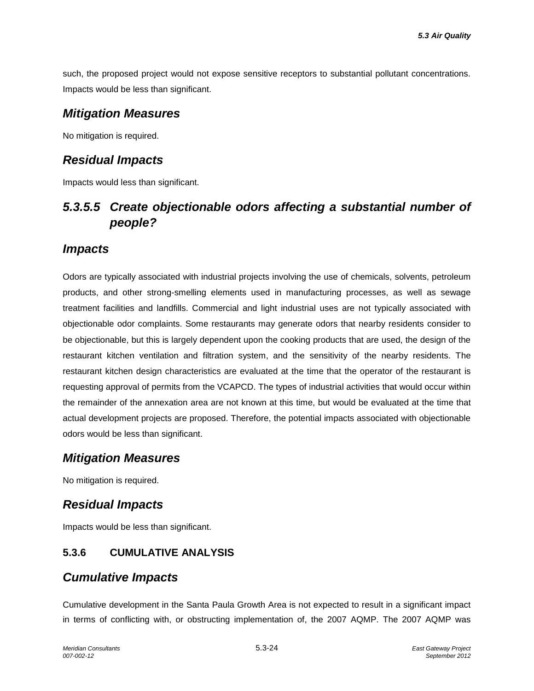such, the proposed project would not expose sensitive receptors to substantial pollutant concentrations. Impacts would be less than significant.

## *Mitigation Measures*

No mitigation is required.

# *Residual Impacts*

Impacts would less than significant.

# *5.3.5.5 Create objectionable odors affecting a substantial number of people?*

# *Impacts*

Odors are typically associated with industrial projects involving the use of chemicals, solvents, petroleum products, and other strong-smelling elements used in manufacturing processes, as well as sewage treatment facilities and landfills. Commercial and light industrial uses are not typically associated with objectionable odor complaints. Some restaurants may generate odors that nearby residents consider to be objectionable, but this is largely dependent upon the cooking products that are used, the design of the restaurant kitchen ventilation and filtration system, and the sensitivity of the nearby residents. The restaurant kitchen design characteristics are evaluated at the time that the operator of the restaurant is requesting approval of permits from the VCAPCD. The types of industrial activities that would occur within the remainder of the annexation area are not known at this time, but would be evaluated at the time that actual development projects are proposed. Therefore, the potential impacts associated with objectionable odors would be less than significant.

# *Mitigation Measures*

No mitigation is required.

# *Residual Impacts*

Impacts would be less than significant.

## **5.3.6 CUMULATIVE ANALYSIS**

# *Cumulative Impacts*

Cumulative development in the Santa Paula Growth Area is not expected to result in a significant impact in terms of conflicting with, or obstructing implementation of, the 2007 AQMP. The 2007 AQMP was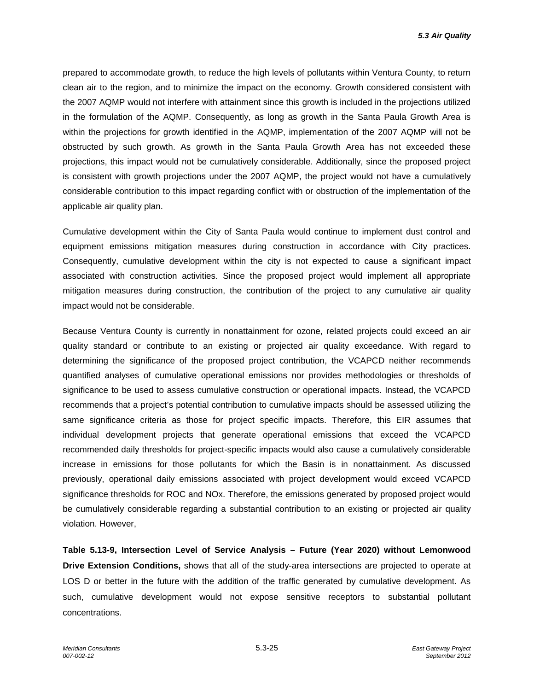*5.3 Air Quality*

prepared to accommodate growth, to reduce the high levels of pollutants within Ventura County, to return clean air to the region, and to minimize the impact on the economy. Growth considered consistent with the 2007 AQMP would not interfere with attainment since this growth is included in the projections utilized in the formulation of the AQMP. Consequently, as long as growth in the Santa Paula Growth Area is within the projections for growth identified in the AQMP, implementation of the 2007 AQMP will not be obstructed by such growth. As growth in the Santa Paula Growth Area has not exceeded these projections, this impact would not be cumulatively considerable. Additionally, since the proposed project is consistent with growth projections under the 2007 AQMP, the project would not have a cumulatively considerable contribution to this impact regarding conflict with or obstruction of the implementation of the applicable air quality plan.

Cumulative development within the City of Santa Paula would continue to implement dust control and equipment emissions mitigation measures during construction in accordance with City practices. Consequently, cumulative development within the city is not expected to cause a significant impact associated with construction activities. Since the proposed project would implement all appropriate mitigation measures during construction, the contribution of the project to any cumulative air quality impact would not be considerable.

Because Ventura County is currently in nonattainment for ozone, related projects could exceed an air quality standard or contribute to an existing or projected air quality exceedance. With regard to determining the significance of the proposed project contribution, the VCAPCD neither recommends quantified analyses of cumulative operational emissions nor provides methodologies or thresholds of significance to be used to assess cumulative construction or operational impacts. Instead, the VCAPCD recommends that a project's potential contribution to cumulative impacts should be assessed utilizing the same significance criteria as those for project specific impacts. Therefore, this EIR assumes that individual development projects that generate operational emissions that exceed the VCAPCD recommended daily thresholds for project-specific impacts would also cause a cumulatively considerable increase in emissions for those pollutants for which the Basin is in nonattainment. As discussed previously, operational daily emissions associated with project development would exceed VCAPCD significance thresholds for ROC and NOx. Therefore, the emissions generated by proposed project would be cumulatively considerable regarding a substantial contribution to an existing or projected air quality violation. However,

**Table 5.13-9, Intersection Level of Service Analysis – Future (Year 2020) without Lemonwood Drive Extension Conditions,** shows that all of the study-area intersections are projected to operate at LOS D or better in the future with the addition of the traffic generated by cumulative development. As such, cumulative development would not expose sensitive receptors to substantial pollutant concentrations.